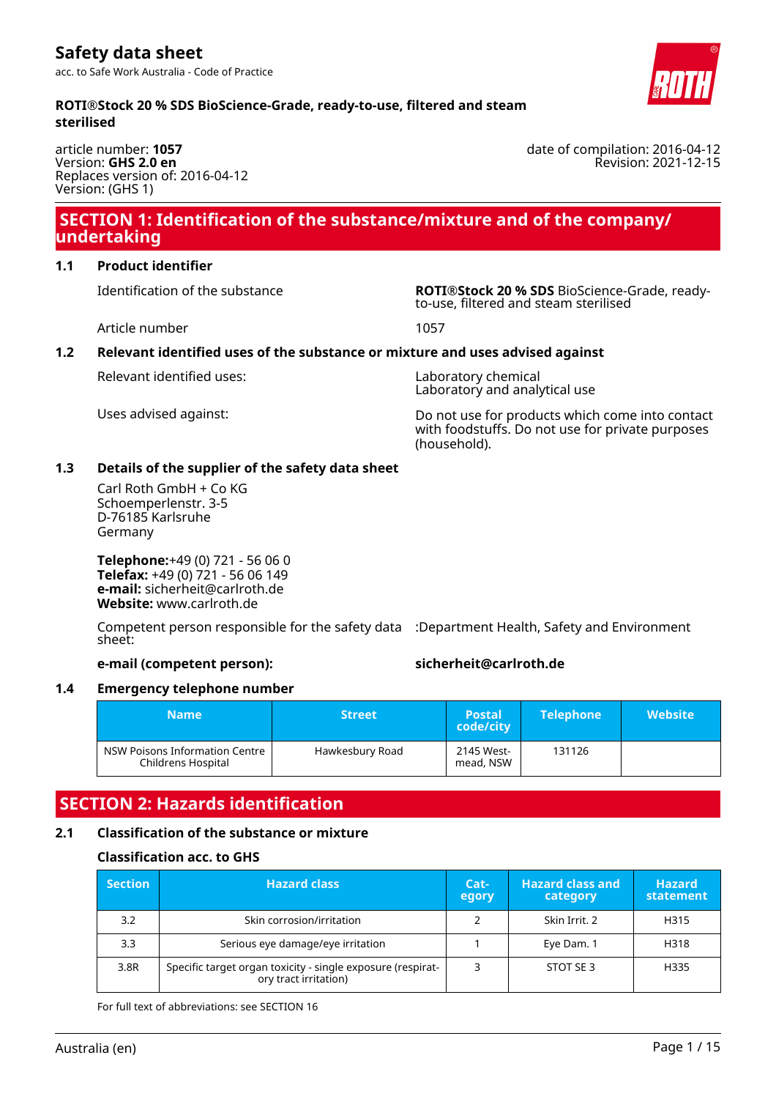**ROTI®Stock 20 % SDS BioScience-Grade, ready-to-use, filtered and steam sterilised**

article number: **1057** Version: **GHS 2.0 en** Replaces version of: 2016-04-12 Version: (GHS 1)

## **SECTION 1: Identification of the substance/mixture and of the company/ undertaking**

## **1.1 Product identifier**

Identification of the substance **ROTI®Stock 20 % SDS** BioScience-Grade, readyto-use, filtered and steam sterilised

Article number 1057

## **1.2 Relevant identified uses of the substance or mixture and uses advised against**

Relevant identified uses: Laboratory chemical

Laboratory and analytical use

Uses advised against: Do not use for products which come into contact with foodstuffs. Do not use for private purposes (household).

## **1.3 Details of the supplier of the safety data sheet**

Carl Roth GmbH + Co KG Schoemperlenstr. 3-5 D-76185 Karlsruhe Germany

**Telephone:**+49 (0) 721 - 56 06 0 **Telefax:** +49 (0) 721 - 56 06 149 **e-mail:** sicherheit@carlroth.de **Website:** www.carlroth.de

Competent person responsible for the safety data :Department Health, Safety and Environment sheet:

## **e-mail (competent person): sicherheit@carlroth.de**

## **1.4 Emergency telephone number**

| <b>Name</b>                                          | <b>Street</b>   | <b>Postal</b><br>code/city | <b>Telephone</b> | <b>Website</b> |
|------------------------------------------------------|-----------------|----------------------------|------------------|----------------|
| NSW Poisons Information Centre<br>Childrens Hospital | Hawkesbury Road | 2145 West-<br>mead, NSW    | 131126           |                |

# **SECTION 2: Hazards identification**

## **2.1 Classification of the substance or mixture**

## **Classification acc. to GHS**

| <b>Section</b> | <b>Hazard class</b>                                                                  | Cat-<br>egory | <b>Hazard class and</b><br>category | <b>Hazard</b><br>statement |
|----------------|--------------------------------------------------------------------------------------|---------------|-------------------------------------|----------------------------|
| 3.2            | Skin corrosion/irritation                                                            |               | Skin Irrit, 2                       | H315                       |
| 3.3            | Serious eye damage/eye irritation                                                    |               | Eye Dam. 1                          | H318                       |
| 3.8R           | Specific target organ toxicity - single exposure (respirat-<br>ory tract irritation) |               | STOT SE3                            | H335                       |

For full text of abbreviations: see SECTION 16



date of compilation: 2016-04-12 Revision: 2021-12-15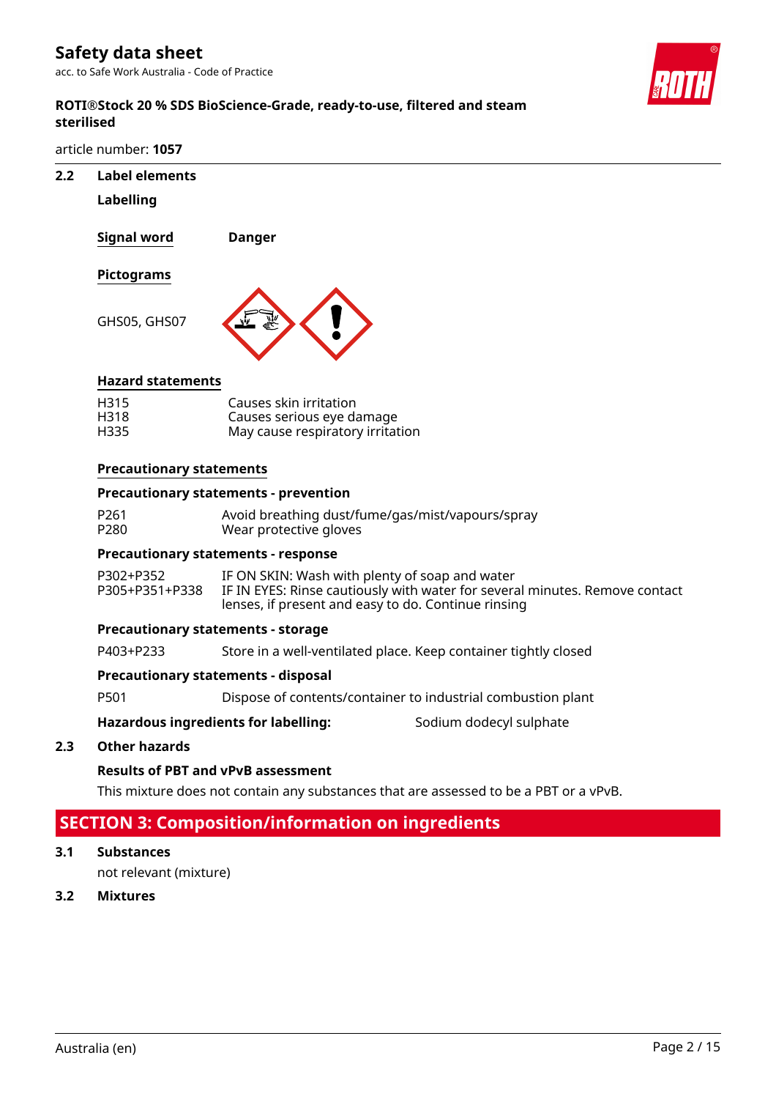acc. to Safe Work Australia - Code of Practice



## **ROTI®Stock 20 % SDS BioScience-Grade, ready-to-use, filtered and steam sterilised**

article number: **1057**

- **2.2 Label elements**
	- **Labelling**

**Signal word Danger**

**Pictograms**

GHS05, GHS07



## **Hazard statements**

| H315 | Causes skin irritation           |
|------|----------------------------------|
| H318 | Causes serious eye damage        |
| H335 | May cause respiratory irritation |

#### **Precautionary statements**

#### **Precautionary statements - prevention**

| P <sub>261</sub> | Avoid breathing dust/fume/gas/mist/vapours/spray |
|------------------|--------------------------------------------------|
| P280             | Wear protective gloves                           |

## **Precautionary statements - response**

| P302+P352 | IF ON SKIN: Wash with plenty of soap and water                                             |
|-----------|--------------------------------------------------------------------------------------------|
|           | P305+P351+P338 IF IN EYES: Rinse cautiously with water for several minutes. Remove contact |
|           | lenses, if present and easy to do. Continue rinsing                                        |

#### **Precautionary statements - storage**

P403+P233 Store in a well-ventilated place. Keep container tightly closed

### **Precautionary statements - disposal**

P501 Dispose of contents/container to industrial combustion plant

## Hazardous ingredients for labelling: Sodium dodecyl sulphate

## **2.3 Other hazards**

## **Results of PBT and vPvB assessment**

This mixture does not contain any substances that are assessed to be a PBT or a vPvB.

# **SECTION 3: Composition/information on ingredients**

**3.1 Substances**

not relevant (mixture)

**3.2 Mixtures**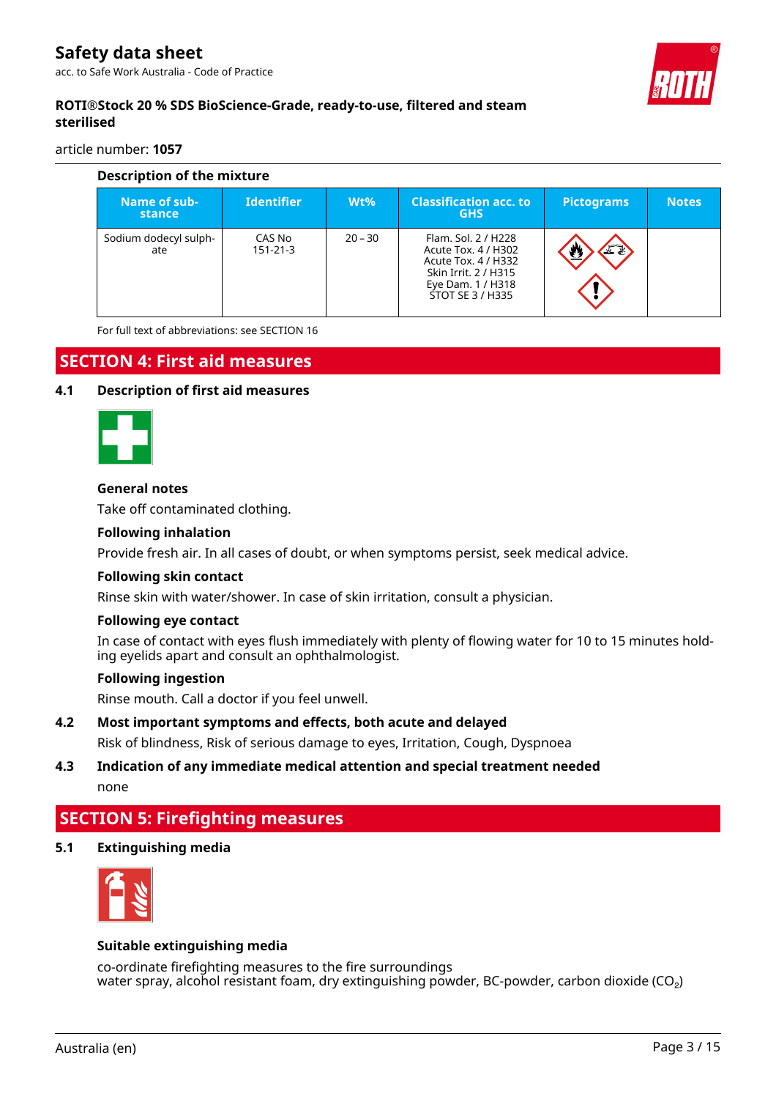

## **ROTI®Stock 20 % SDS BioScience-Grade, ready-to-use, filtered and steam sterilised**

article number: **1057**

| Description of the mixture   |                          |           |                                                                                                                                    |                   |              |  |  |  |
|------------------------------|--------------------------|-----------|------------------------------------------------------------------------------------------------------------------------------------|-------------------|--------------|--|--|--|
| Name of sub-<br>stance       | <b>Identifier</b>        | $Wt\%$    | <b>Classification acc. to</b><br><b>GHS</b>                                                                                        | <b>Pictograms</b> | <b>Notes</b> |  |  |  |
| Sodium dodecyl sulph-<br>ate | CAS No<br>$151 - 21 - 3$ | $20 - 30$ | Flam. Sol. 2 / H228<br>Acute Tox. 4 / H302<br>Acute Tox. 4 / H332<br>Skin Irrit. 2 / H315<br>Eye Dam. 1 / H318<br>STOT SE 3 / H335 | 工业                |              |  |  |  |

For full text of abbreviations: see SECTION 16

## **SECTION 4: First aid measures**

#### **4.1 Description of first aid measures**



#### **General notes**

Take off contaminated clothing.

#### **Following inhalation**

Provide fresh air. In all cases of doubt, or when symptoms persist, seek medical advice.

#### **Following skin contact**

Rinse skin with water/shower. In case of skin irritation, consult a physician.

#### **Following eye contact**

In case of contact with eyes flush immediately with plenty of flowing water for 10 to 15 minutes holding eyelids apart and consult an ophthalmologist.

## **Following ingestion**

Rinse mouth. Call a doctor if you feel unwell.

#### **4.2 Most important symptoms and effects, both acute and delayed**

Risk of blindness, Risk of serious damage to eyes, Irritation, Cough, Dyspnoea

## **4.3 Indication of any immediate medical attention and special treatment needed** none

# **SECTION 5: Firefighting measures**

## **5.1 Extinguishing media**



#### **Suitable extinguishing media**

co-ordinate firefighting measures to the fire surroundings water spray, alcohol resistant foam, dry extinguishing powder, BC-powder, carbon dioxide (CO<sub>2</sub>)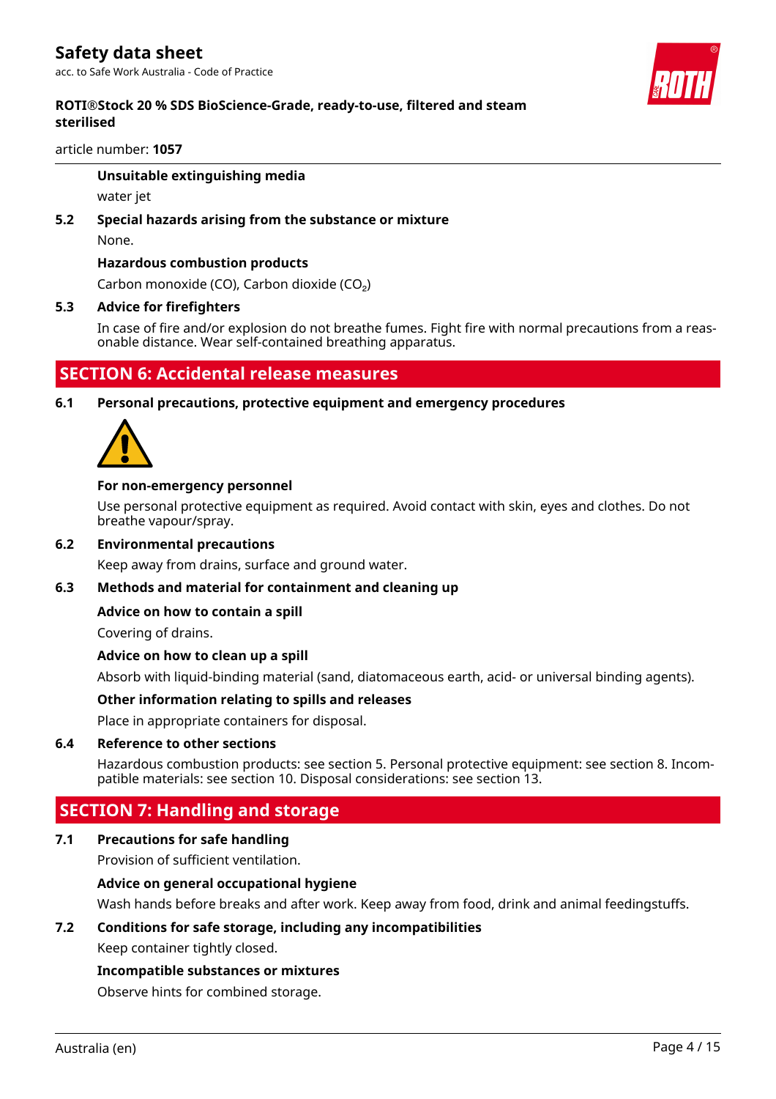## **ROTI®Stock 20 % SDS BioScience-Grade, ready-to-use, filtered and steam sterilised**

article number: **1057**

## **Unsuitable extinguishing media**

water jet

# **5.2 Special hazards arising from the substance or mixture**

None.

## **Hazardous combustion products**

Carbon monoxide (CO), Carbon dioxide (CO₂)

## **5.3 Advice for firefighters**

In case of fire and/or explosion do not breathe fumes. Fight fire with normal precautions from a reasonable distance. Wear self-contained breathing apparatus.

## **SECTION 6: Accidental release measures**

## **6.1 Personal precautions, protective equipment and emergency procedures**



## **For non-emergency personnel**

Use personal protective equipment as required. Avoid contact with skin, eyes and clothes. Do not breathe vapour/spray.

#### **6.2 Environmental precautions**

Keep away from drains, surface and ground water.

## **6.3 Methods and material for containment and cleaning up**

## **Advice on how to contain a spill**

Covering of drains.

## **Advice on how to clean up a spill**

Absorb with liquid-binding material (sand, diatomaceous earth, acid- or universal binding agents).

## **Other information relating to spills and releases**

Place in appropriate containers for disposal.

#### **6.4 Reference to other sections**

Hazardous combustion products: see section 5. Personal protective equipment: see section 8. Incompatible materials: see section 10. Disposal considerations: see section 13.

## **SECTION 7: Handling and storage**

## **7.1 Precautions for safe handling**

Provision of sufficient ventilation.

## **Advice on general occupational hygiene**

Wash hands before breaks and after work. Keep away from food, drink and animal feedingstuffs.

## **7.2 Conditions for safe storage, including any incompatibilities**

Keep container tightly closed.

#### **Incompatible substances or mixtures**

Observe hints for combined storage.

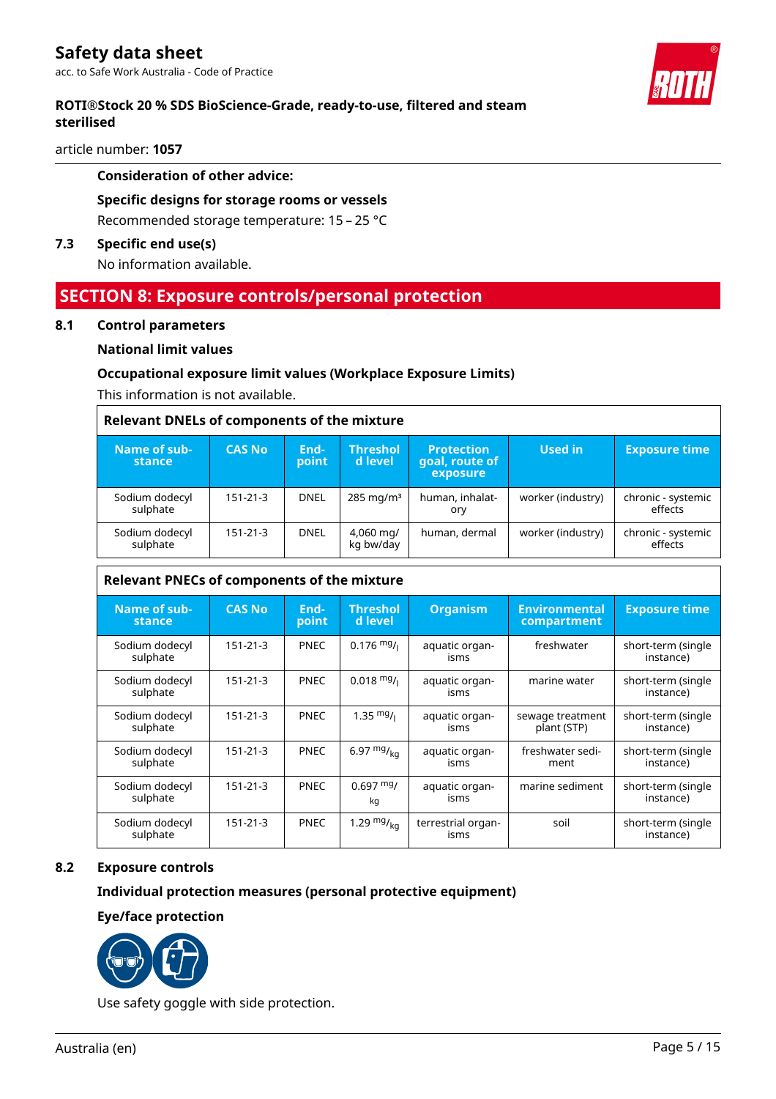## **ROTI®Stock 20 % SDS BioScience-Grade, ready-to-use, filtered and steam sterilised**

article number: **1057**

## **Consideration of other advice:**

**Specific designs for storage rooms or vessels** Recommended storage temperature: 15 – 25 °C

## **7.3 Specific end use(s)**

No information available.

## **SECTION 8: Exposure controls/personal protection**

#### **8.1 Control parameters**

r

## **National limit values**

## **Occupational exposure limit values (Workplace Exposure Limits)**

This information is not available.

| <b>Relevant DNELs of components of the mixture</b> |                |               |                             |                                                 |                   |                               |  |  |
|----------------------------------------------------|----------------|---------------|-----------------------------|-------------------------------------------------|-------------------|-------------------------------|--|--|
| Name of sub-<br><b>stance</b>                      | <b>CAS No</b>  | End-<br>point | <b>Threshol</b><br>d level. | <b>Protection</b><br>goal, route of<br>exposure | Used in           | <b>Exposure time</b>          |  |  |
| Sodium dodecyl<br>sulphate                         | $151 - 21 - 3$ | <b>DNEL</b>   | $285 \,\mathrm{mg/m^3}$     | human, inhalat-<br>ory                          | worker (industry) | chronic - systemic<br>effects |  |  |
| Sodium dodecyl<br>sulphate                         | 151-21-3       | <b>DNEL</b>   | 4,060 mg/<br>kg bw/day      | human, dermal                                   | worker (industry) | chronic - systemic<br>effects |  |  |

#### **Relevant PNECs of components of the mixture**

| Name of sub-<br>stance     | <b>CAS No</b>  | End-<br>point | <b>Threshol</b><br>d level | <b>Organism</b>            | <b>Environmental</b><br>compartment | <b>Exposure time</b>            |
|----------------------------|----------------|---------------|----------------------------|----------------------------|-------------------------------------|---------------------------------|
| Sodium dodecyl<br>sulphate | $151 - 21 - 3$ | <b>PNEC</b>   | $0.176$ mg/ <sub>1</sub>   | aquatic organ-<br>isms     | freshwater                          | short-term (single<br>instance) |
| Sodium dodecyl<br>sulphate | $151 - 21 - 3$ | <b>PNEC</b>   | $0.018$ mg/ $\frac{1}{10}$ | aquatic organ-<br>isms     | marine water                        | short-term (single<br>instance) |
| Sodium dodecyl<br>sulphate | $151 - 21 - 3$ | <b>PNEC</b>   | $1.35 \frac{mg}{l}$        | aquatic organ-<br>isms     | sewage treatment<br>plant (STP)     | short-term (single<br>instance) |
| Sodium dodecyl<br>sulphate | $151 - 21 - 3$ | <b>PNEC</b>   | 6.97 $mg/_{kq}$            | aquatic organ-<br>isms     | freshwater sedi-<br>ment            | short-term (single<br>instance) |
| Sodium dodecyl<br>sulphate | $151 - 21 - 3$ | <b>PNEC</b>   | $0.697$ mg/<br>kq          | aquatic organ-<br>isms     | marine sediment                     | short-term (single<br>instance) |
| Sodium dodecyl<br>sulphate | $151 - 21 - 3$ | <b>PNEC</b>   | 1.29 $mg/kq$               | terrestrial organ-<br>isms | soil                                | short-term (single<br>instance) |

## **8.2 Exposure controls**

## **Individual protection measures (personal protective equipment)**

## **Eye/face protection**



Use safety goggle with side protection.

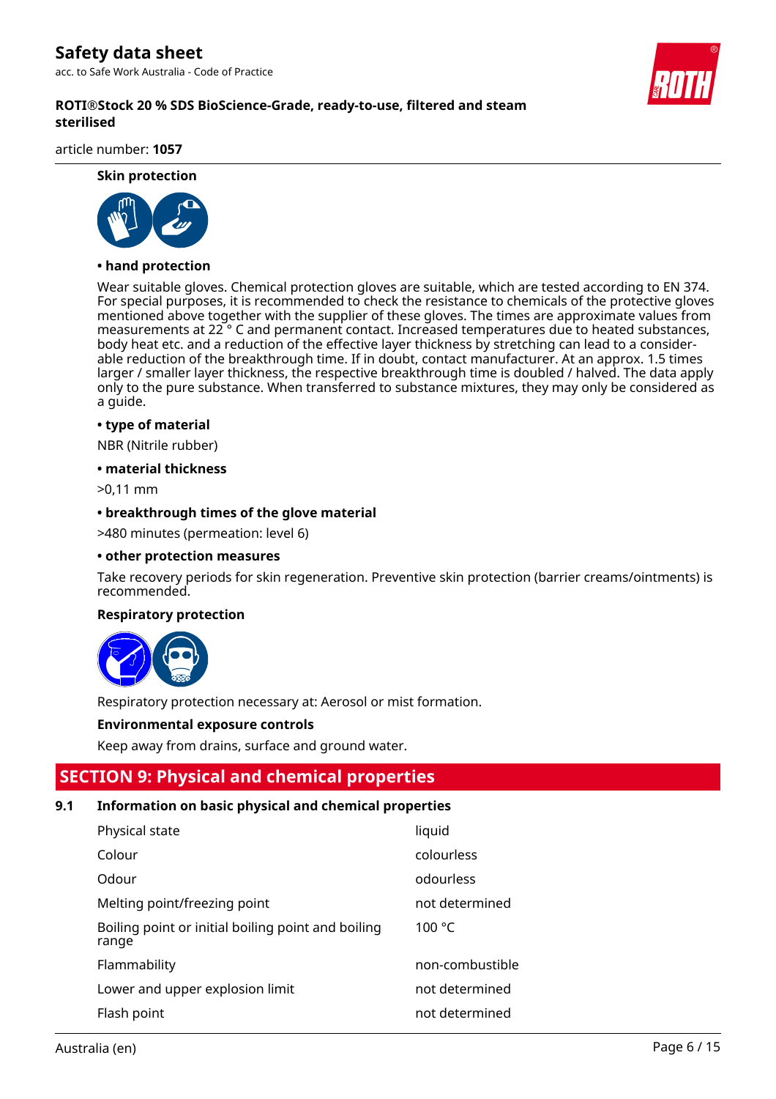**ROTI®Stock 20 % SDS BioScience-Grade, ready-to-use, filtered and steam sterilised**

article number: **1057**

## **Skin protection**



#### **• hand protection**

Wear suitable gloves. Chemical protection gloves are suitable, which are tested according to EN 374. For special purposes, it is recommended to check the resistance to chemicals of the protective gloves mentioned above together with the supplier of these gloves. The times are approximate values from measurements at 22 ° C and permanent contact. Increased temperatures due to heated substances, body heat etc. and a reduction of the effective layer thickness by stretching can lead to a considerable reduction of the breakthrough time. If in doubt, contact manufacturer. At an approx. 1.5 times larger / smaller layer thickness, the respective breakthrough time is doubled / halved. The data apply only to the pure substance. When transferred to substance mixtures, they may only be considered as a guide.

#### **• type of material**

NBR (Nitrile rubber)

#### **• material thickness**

>0,11 mm

#### **• breakthrough times of the glove material**

>480 minutes (permeation: level 6)

#### **• other protection measures**

Take recovery periods for skin regeneration. Preventive skin protection (barrier creams/ointments) is recommended.

#### **Respiratory protection**



Respiratory protection necessary at: Aerosol or mist formation.

#### **Environmental exposure controls**

Keep away from drains, surface and ground water.

## **SECTION 9: Physical and chemical properties**

## **9.1 Information on basic physical and chemical properties**

| Physical state                                              | liquid          |
|-------------------------------------------------------------|-----------------|
| Colour                                                      | colourless      |
| Odour                                                       | odourless       |
| Melting point/freezing point                                | not determined  |
| Boiling point or initial boiling point and boiling<br>range | 100 $\degree$ C |
| Flammability                                                | non-combustible |
| Lower and upper explosion limit                             | not determined  |
| Flash point                                                 | not determined  |

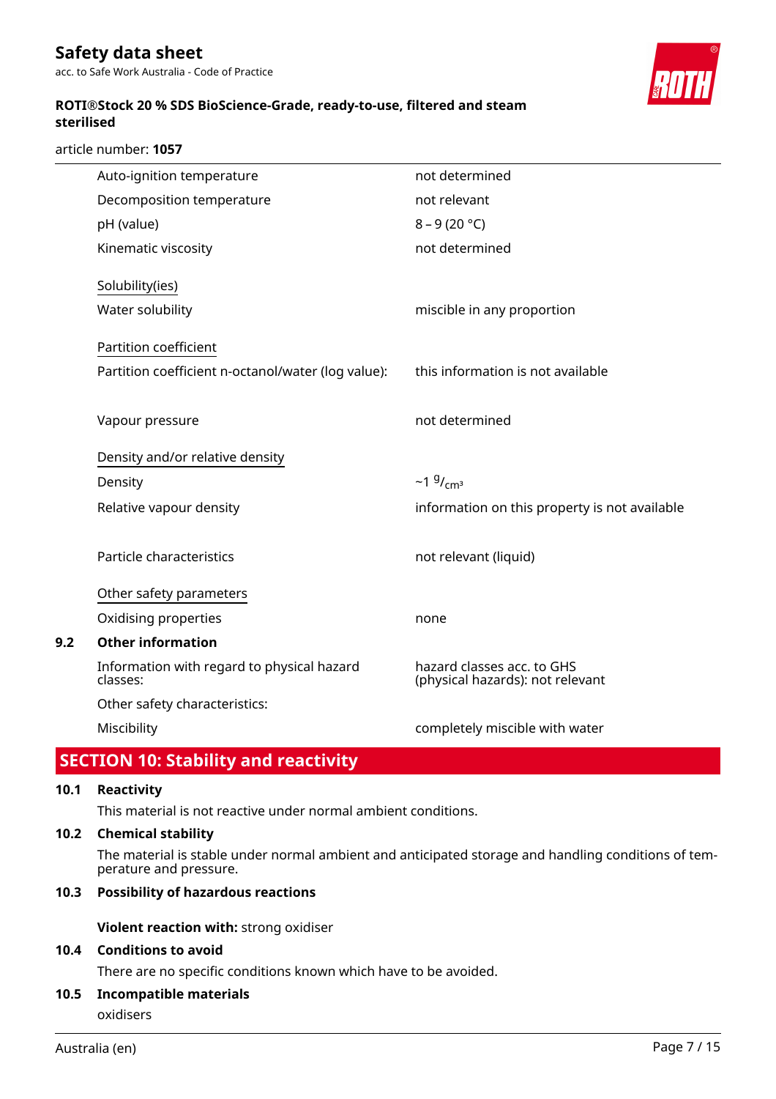**ROTI®Stock 20 % SDS BioScience-Grade, ready-to-use, filtered and steam sterilised**

article number: **1057**



|     | Auto-ignition temperature                              | not determined                                                 |
|-----|--------------------------------------------------------|----------------------------------------------------------------|
|     | Decomposition temperature                              | not relevant                                                   |
|     | pH (value)                                             | $8 - 9(20 °C)$                                                 |
|     | Kinematic viscosity                                    | not determined                                                 |
|     | Solubility(ies)                                        |                                                                |
|     | Water solubility                                       | miscible in any proportion                                     |
|     | Partition coefficient                                  |                                                                |
|     | Partition coefficient n-octanol/water (log value):     | this information is not available                              |
|     | Vapour pressure                                        | not determined                                                 |
|     | Density and/or relative density                        |                                                                |
|     | Density                                                | $~19/$ <sub>cm<sup>3</sup></sub>                               |
|     | Relative vapour density                                | information on this property is not available                  |
|     | Particle characteristics                               | not relevant (liquid)                                          |
|     | Other safety parameters                                |                                                                |
|     | Oxidising properties                                   | none                                                           |
| 9.2 | <b>Other information</b>                               |                                                                |
|     | Information with regard to physical hazard<br>classes: | hazard classes acc. to GHS<br>(physical hazards): not relevant |
|     | Other safety characteristics:                          |                                                                |
|     | Miscibility                                            | completely miscible with water                                 |
|     |                                                        |                                                                |

# **SECTION 10: Stability and reactivity**

## **10.1 Reactivity**

This material is not reactive under normal ambient conditions.

## **10.2 Chemical stability**

The material is stable under normal ambient and anticipated storage and handling conditions of temperature and pressure.

## **10.3 Possibility of hazardous reactions**

**Violent reaction with:** strong oxidiser

## **10.4 Conditions to avoid**

There are no specific conditions known which have to be avoided.

## **10.5 Incompatible materials**

oxidisers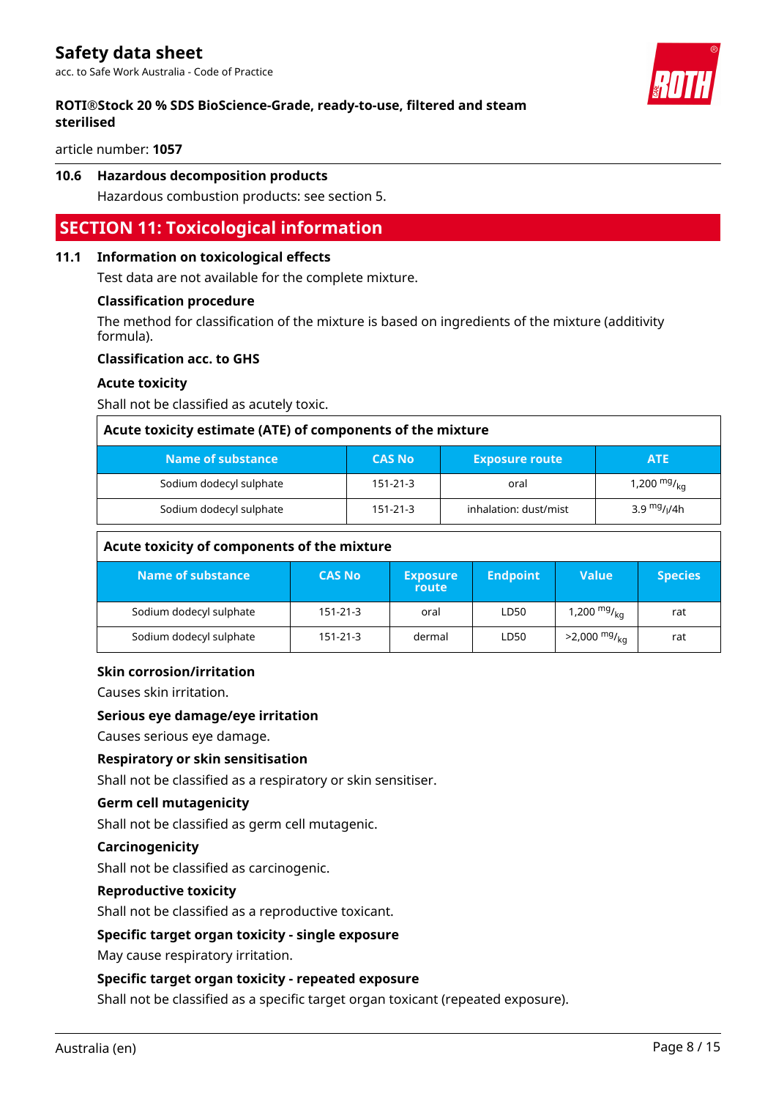## **ROTI®Stock 20 % SDS BioScience-Grade, ready-to-use, filtered and steam sterilised**

article number: **1057**

## **10.6 Hazardous decomposition products**

Hazardous combustion products: see section 5.

## **SECTION 11: Toxicological information**

#### **11.1 Information on toxicological effects**

Test data are not available for the complete mixture.

#### **Classification procedure**

The method for classification of the mixture is based on ingredients of the mixture (additivity formula).

#### **Classification acc. to GHS**

#### **Acute toxicity**

Shall not be classified as acutely toxic.

| Acute toxicity estimate (ATE) of components of the mixture                          |                |      |                  |  |  |  |  |
|-------------------------------------------------------------------------------------|----------------|------|------------------|--|--|--|--|
| Name of substance<br><b>CAS No</b><br><b>Exposure route</b><br><b>ATE</b>           |                |      |                  |  |  |  |  |
| Sodium dodecyl sulphate                                                             | $151 - 21 - 3$ | oral | 1,200 $mg/_{ka}$ |  |  |  |  |
| 3.9 $mg/1/4h$<br>Sodium dodecyl sulphate<br>inhalation: dust/mist<br>$151 - 21 - 3$ |                |      |                  |  |  |  |  |

## **Acute toxicity of components of the mixture**

| Name of substance       | <b>CAS No</b>  | <b>Exposure</b><br>route | <b>Endpoint</b> | Value                      | <b>Species</b> |
|-------------------------|----------------|--------------------------|-----------------|----------------------------|----------------|
| Sodium dodecyl sulphate | $151 - 21 - 3$ | oral                     | LD50            | 1,200 $mg/_{kq}$           | rat            |
| Sodium dodecyl sulphate | $151 - 21 - 3$ | dermal                   | LD50            | $>2,000$ mg/ <sub>ka</sub> | rat            |

## **Skin corrosion/irritation**

Causes skin irritation.

#### **Serious eye damage/eye irritation**

Causes serious eye damage.

## **Respiratory or skin sensitisation**

Shall not be classified as a respiratory or skin sensitiser.

#### **Germ cell mutagenicity**

Shall not be classified as germ cell mutagenic.

#### **Carcinogenicity**

Shall not be classified as carcinogenic.

## **Reproductive toxicity**

Shall not be classified as a reproductive toxicant.

## **Specific target organ toxicity - single exposure**

May cause respiratory irritation.

## **Specific target organ toxicity - repeated exposure**

Shall not be classified as a specific target organ toxicant (repeated exposure).

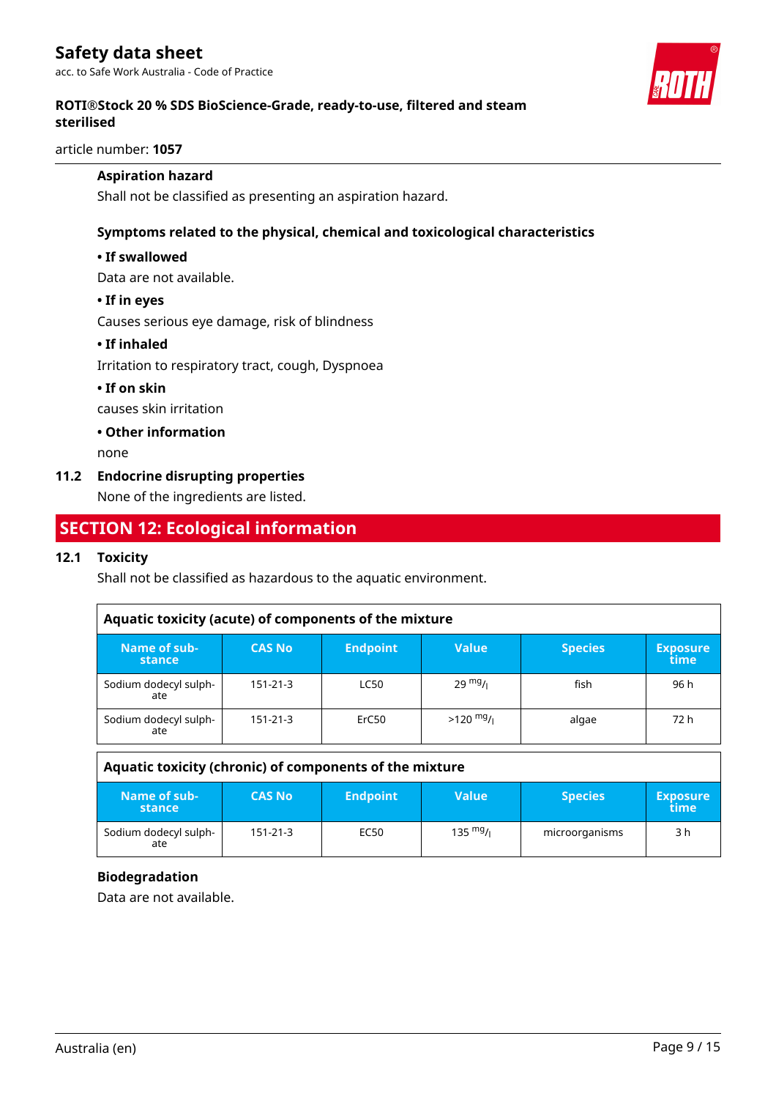

## **ROTI®Stock 20 % SDS BioScience-Grade, ready-to-use, filtered and steam sterilised**

article number: **1057**

## **Aspiration hazard**

Shall not be classified as presenting an aspiration hazard.

## **Symptoms related to the physical, chemical and toxicological characteristics**

## **• If swallowed**

Data are not available.

#### **• If in eyes**

Causes serious eye damage, risk of blindness

## **• If inhaled**

Irritation to respiratory tract, cough, Dyspnoea

## **• If on skin**

causes skin irritation

**• Other information**

none

## **11.2 Endocrine disrupting properties**

None of the ingredients are listed.

## **SECTION 12: Ecological information**

## **12.1 Toxicity**

Shall not be classified as hazardous to the aquatic environment.

| Aquatic toxicity (acute) of components of the mixture |                |                 |                   |                |                         |
|-------------------------------------------------------|----------------|-----------------|-------------------|----------------|-------------------------|
| Name of sub-<br>stance                                | <b>CAS No</b>  | <b>Endpoint</b> | <b>Value</b>      | <b>Species</b> | <b>Exposure</b><br>time |
| Sodium dodecyl sulph-<br>ate                          | $151 - 21 - 3$ | <b>LC50</b>     | $29 \frac{mg}{l}$ | fish           | 96 h                    |
| Sodium dodecyl sulph-<br>ate                          | 151-21-3       | ErC50           | $>120$ mg/        | algae          | 72 h                    |

| Aquatic toxicity (chronic) of components of the mixture |                |                 |                    |                |                         |
|---------------------------------------------------------|----------------|-----------------|--------------------|----------------|-------------------------|
| Name of sub-<br>stance                                  | <b>CAS No</b>  | <b>Endpoint</b> | <b>Value</b>       | <b>Species</b> | <b>Exposure</b><br>time |
| Sodium dodecyl sulph-<br>ate                            | $151 - 21 - 3$ | EC50            | $135 \frac{mg}{L}$ | microorganisms | 3 h                     |

## **Biodegradation**

Data are not available.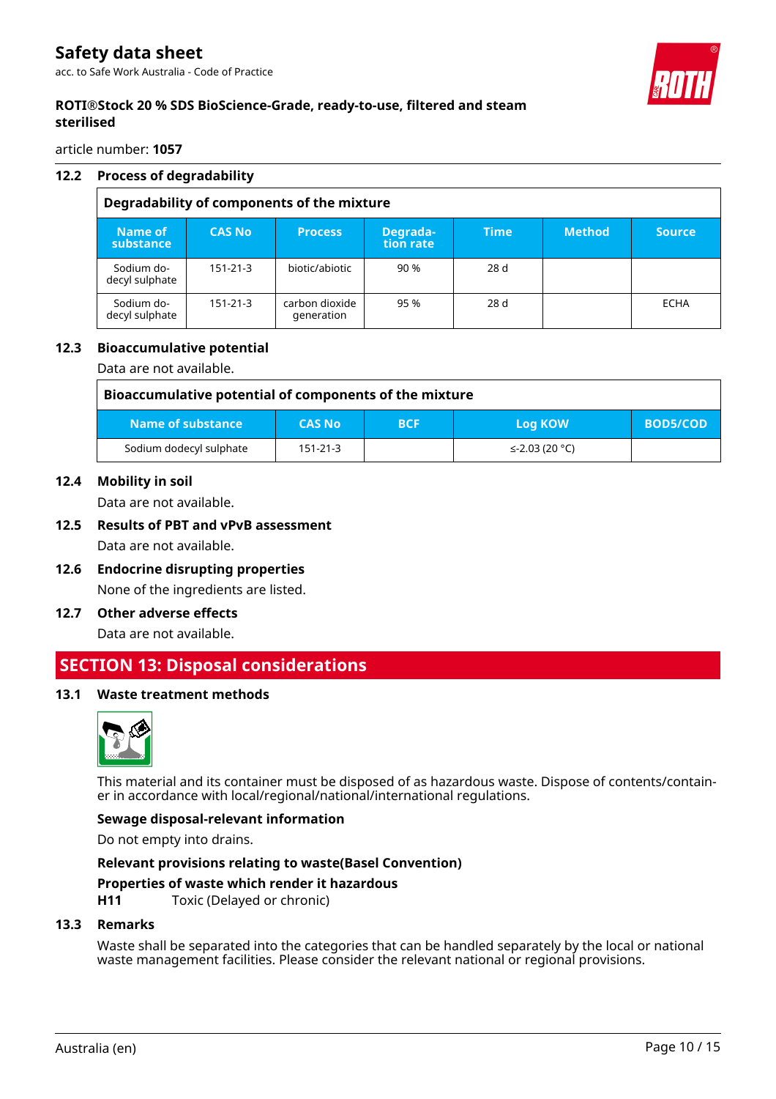

## **ROTI®Stock 20 % SDS BioScience-Grade, ready-to-use, filtered and steam sterilised**

article number: **1057**

## **12.2 Process of degradability**

| Degradability of components of the mixture |                |                              |                       |             |               |               |
|--------------------------------------------|----------------|------------------------------|-----------------------|-------------|---------------|---------------|
| Name of<br>substance                       | <b>CAS No</b>  | <b>Process</b>               | Degrada-<br>tion rate | <b>Time</b> | <b>Method</b> | <b>Source</b> |
| Sodium do-<br>decyl sulphate               | $151 - 21 - 3$ | biotic/abiotic               | 90 %                  | 28d         |               |               |
| Sodium do-<br>decyl sulphate               | $151 - 21 - 3$ | carbon dioxide<br>generation | 95 %                  | 28 d        |               | <b>ECHA</b>   |

## **12.3 Bioaccumulative potential**

Data are not available.

| Bioaccumulative potential of components of the mixture |                |            |                |                 |
|--------------------------------------------------------|----------------|------------|----------------|-----------------|
| Name of substance                                      | <b>CAS No</b>  | <b>BCF</b> | Log KOW        | <b>BOD5/COD</b> |
| Sodium dodecyl sulphate                                | $151 - 21 - 3$ |            | ≤-2.03 (20 °C) |                 |

#### **12.4 Mobility in soil**

Data are not available.

# **12.5 Results of PBT and vPvB assessment**

Data are not available.

- **12.6 Endocrine disrupting properties** None of the ingredients are listed.
- **12.7 Other adverse effects**

Data are not available.

## **SECTION 13: Disposal considerations**

## **13.1 Waste treatment methods**



This material and its container must be disposed of as hazardous waste. Dispose of contents/container in accordance with local/regional/national/international regulations.

## **Sewage disposal-relevant information**

Do not empty into drains.

# **Relevant provisions relating to waste(Basel Convention)**

## **Properties of waste which render it hazardous**

**H11** Toxic (Delayed or chronic)

## **13.3 Remarks**

Waste shall be separated into the categories that can be handled separately by the local or national waste management facilities. Please consider the relevant national or regional provisions.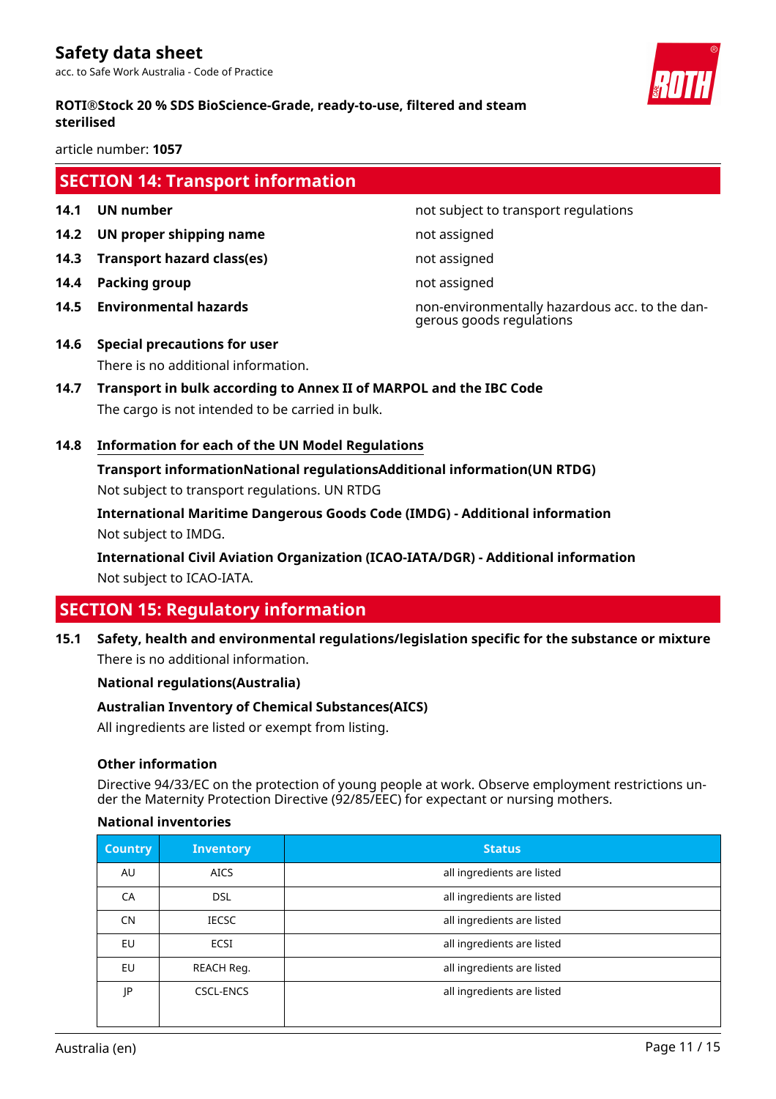

## **ROTI®Stock 20 % SDS BioScience-Grade, ready-to-use, filtered and steam sterilised**

article number: **1057**

# **SECTION 14: Transport information**

- 
- **14.2 UN proper shipping name** not assigned
- **14.3 Transport hazard class(es)** not assigned
- **14.4 Packing group not assigned**
- 

**14.1 UN number 14.1 UN** number

**14.5 Environmental hazards** non-environmentally hazardous acc. to the dangerous goods regulations

- **14.6 Special precautions for user** There is no additional information.
- **14.7 Transport in bulk according to Annex II of MARPOL and the IBC Code** The cargo is not intended to be carried in bulk.
- **14.8 Information for each of the UN Model Regulations**

**Transport informationNational regulationsAdditional information(UN RTDG)** Not subject to transport regulations. UN RTDG

**International Maritime Dangerous Goods Code (IMDG) - Additional information** Not subject to IMDG.

**International Civil Aviation Organization (ICAO-IATA/DGR) - Additional information** Not subject to ICAO-IATA.

# **SECTION 15: Regulatory information**

**15.1 Safety, health and environmental regulations/legislation specific for the substance or mixture** There is no additional information.

## **National regulations(Australia)**

## **Australian Inventory of Chemical Substances(AICS)**

All ingredients are listed or exempt from listing.

## **Other information**

Directive 94/33/EC on the protection of young people at work. Observe employment restrictions under the Maternity Protection Directive (92/85/EEC) for expectant or nursing mothers.

## **National inventories**

| <b>Country</b> | <b>Inventory</b> | <b>Status</b>              |
|----------------|------------------|----------------------------|
| AU             | <b>AICS</b>      | all ingredients are listed |
| CA             | <b>DSL</b>       | all ingredients are listed |
| <b>CN</b>      | <b>IECSC</b>     | all ingredients are listed |
| EU             | <b>ECSI</b>      | all ingredients are listed |
| EU             | REACH Reg.       | all ingredients are listed |
| JP             | <b>CSCL-ENCS</b> | all ingredients are listed |
|                |                  |                            |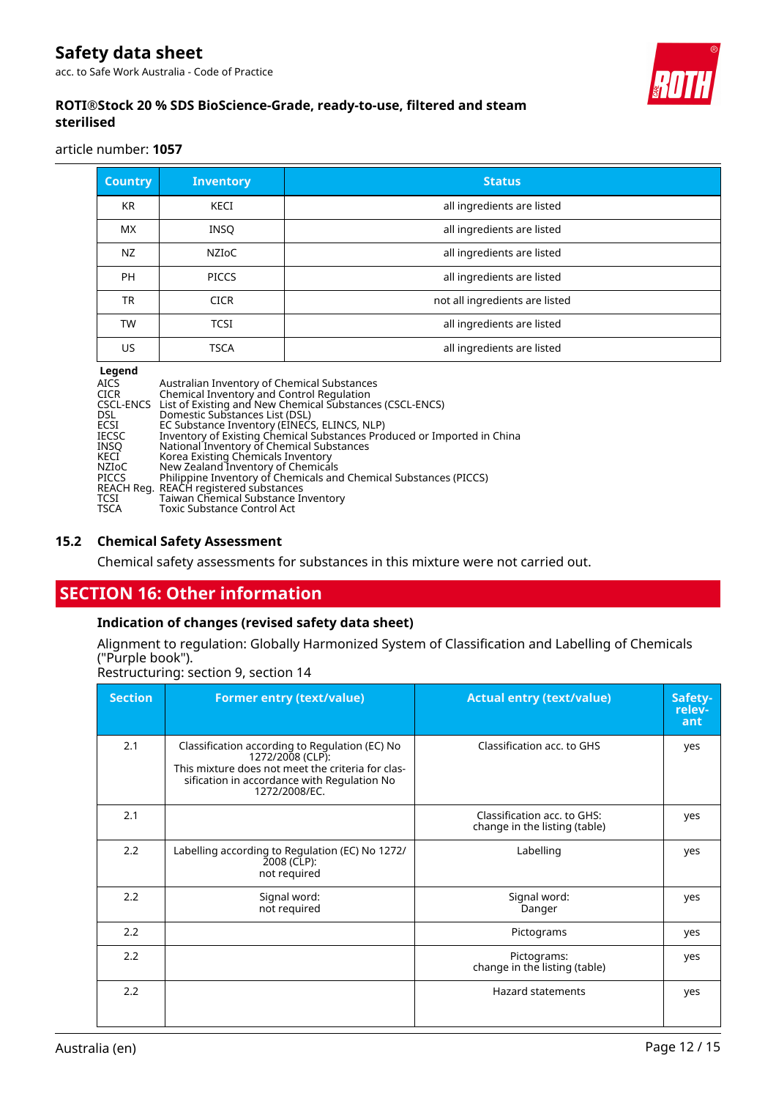acc. to Safe Work Australia - Code of Practice



## **ROTI®Stock 20 % SDS BioScience-Grade, ready-to-use, filtered and steam sterilised**

article number: **1057**

| <b>Country</b> | <b>Inventory</b> | <b>Status</b>                  |
|----------------|------------------|--------------------------------|
| <b>KR</b>      | KECI             | all ingredients are listed     |
| <b>MX</b>      | <b>INSQ</b>      | all ingredients are listed     |
| NZ             | <b>NZIOC</b>     | all ingredients are listed     |
| <b>PH</b>      | <b>PICCS</b>     | all ingredients are listed     |
| TR             | <b>CICR</b>      | not all ingredients are listed |
| TW             | <b>TCSI</b>      | all ingredients are listed     |
| US.            | <b>TSCA</b>      | all ingredients are listed     |

**Legend<br>AICS<br>CICR<br>CSCL-ENCS<br>DSL<br>ECSI<br>IECSC** AICS Australian Inventory of Chemical Substances CICR Chemical Inventory and Control Regulation CSCL-ENCS List of Existing and New Chemical Substances (CSCL-ENCS) DSL Domestic Substances List (DSL) ECSI EC Substance Inventory (EINECS, ELINCS, NLP) IECSC Inventory of Existing Chemical Substances Produced or Imported in China INSQ National Inventory of Chemical Substances KECI Korea Existing Chemicals Inventory NZIoC New Zealand Inventory of Chemicals PICCS Philippine Inventory of Chemicals and Chemical Substances (PICCS) REACH Reg. REACH registered substances TCSI Taiwan Chemical Substance Inventory TSCA Toxic Substance Control Act

## **15.2 Chemical Safety Assessment**

Chemical safety assessments for substances in this mixture were not carried out.

## **SECTION 16: Other information**

## **Indication of changes (revised safety data sheet)**

Alignment to regulation: Globally Harmonized System of Classification and Labelling of Chemicals ("Purple book").

Restructuring: section 9, section 14

| <b>Section</b> | <b>Former entry (text/value)</b>                                                                                                                                                        | <b>Actual entry (text/value)</b>                             | Safety-<br>relev-<br>ant |
|----------------|-----------------------------------------------------------------------------------------------------------------------------------------------------------------------------------------|--------------------------------------------------------------|--------------------------|
| 2.1            | Classification according to Regulation (EC) No<br>1272/2008 (CLP):<br>This mixture does not meet the criteria for clas-<br>sification in accordance with Regulation No<br>1272/2008/EC. | Classification acc. to GHS                                   | yes                      |
| 2.1            |                                                                                                                                                                                         | Classification acc. to GHS:<br>change in the listing (table) | yes                      |
| 2.2            | Labelling according to Regulation (EC) No 1272/<br>2008 (CLP):<br>not required                                                                                                          | Labelling                                                    | yes                      |
| 2.2            | Signal word:<br>not required                                                                                                                                                            | Signal word:<br>Danger                                       | yes                      |
| 2.2            |                                                                                                                                                                                         | Pictograms                                                   | yes                      |
| 2.2            |                                                                                                                                                                                         | Pictograms:<br>change in the listing (table)                 | yes                      |
| 2.2            |                                                                                                                                                                                         | <b>Hazard statements</b>                                     | yes                      |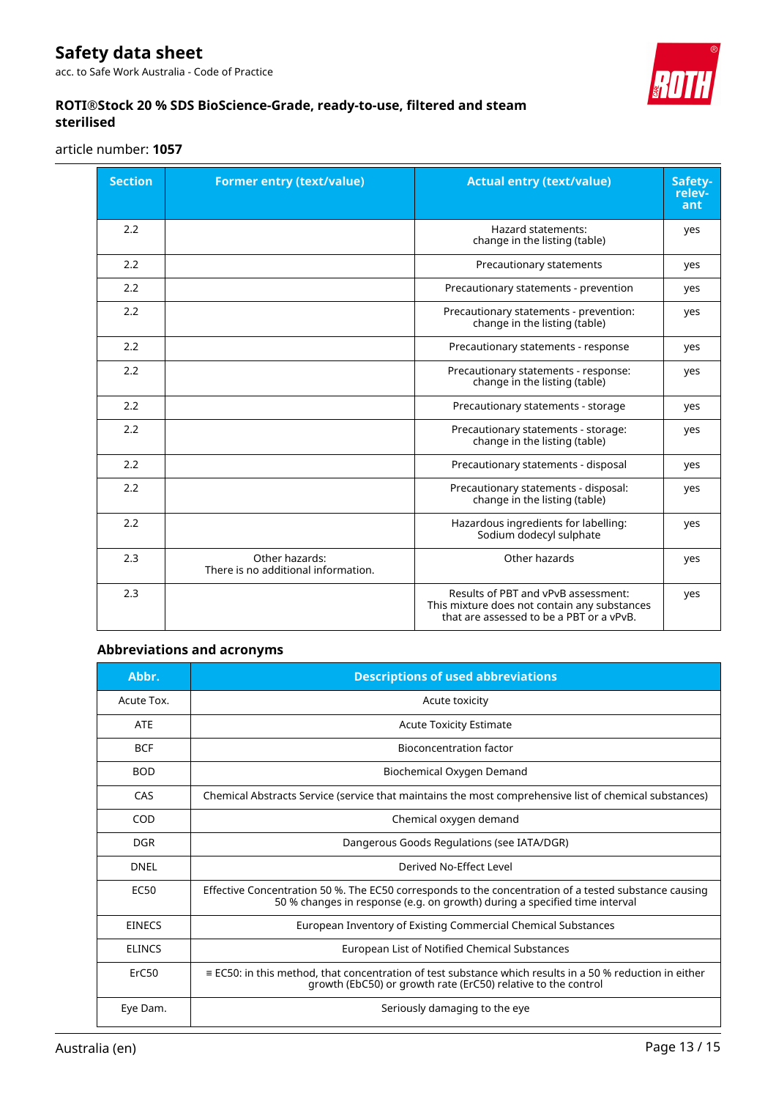acc. to Safe Work Australia - Code of Practice



## **ROTI®Stock 20 % SDS BioScience-Grade, ready-to-use, filtered and steam sterilised**

article number: **1057**

| <b>Section</b> | <b>Former entry (text/value)</b>                      | <b>Actual entry (text/value)</b>                                                                                                | Safety-<br>relev-<br>ant |
|----------------|-------------------------------------------------------|---------------------------------------------------------------------------------------------------------------------------------|--------------------------|
| 2.2            |                                                       | <b>Hazard statements:</b><br>change in the listing (table)                                                                      | yes                      |
| 2.2            |                                                       | Precautionary statements                                                                                                        | yes                      |
| 2.2            |                                                       | Precautionary statements - prevention                                                                                           | yes                      |
| 2.2            |                                                       | Precautionary statements - prevention:<br>change in the listing (table)                                                         | yes                      |
| 2.2            |                                                       | Precautionary statements - response                                                                                             | yes                      |
| 2.2            |                                                       | Precautionary statements - response:<br>change in the listing (table)                                                           | yes                      |
| 2.2            |                                                       | Precautionary statements - storage                                                                                              | yes                      |
| 2.2            |                                                       | Precautionary statements - storage:<br>change in the listing (table)                                                            | yes                      |
| 2.2            |                                                       | Precautionary statements - disposal                                                                                             | yes                      |
| 2.2            |                                                       | Precautionary statements - disposal:<br>change in the listing (table)                                                           | yes                      |
| 2.2            |                                                       | Hazardous ingredients for labelling:<br>Sodium dodecyl sulphate                                                                 | yes                      |
| 2.3            | Other hazards:<br>There is no additional information. | Other hazards                                                                                                                   | yes                      |
| 2.3            |                                                       | Results of PBT and vPvB assessment:<br>This mixture does not contain any substances<br>that are assessed to be a PBT or a vPvB. | yes                      |

## **Abbreviations and acronyms**

| Abbr.             | <b>Descriptions of used abbreviations</b>                                                                                                                                           |
|-------------------|-------------------------------------------------------------------------------------------------------------------------------------------------------------------------------------|
| Acute Tox.        | Acute toxicity                                                                                                                                                                      |
| <b>ATE</b>        | <b>Acute Toxicity Estimate</b>                                                                                                                                                      |
| <b>BCF</b>        | Bioconcentration factor                                                                                                                                                             |
| <b>BOD</b>        | Biochemical Oxygen Demand                                                                                                                                                           |
| CAS               | Chemical Abstracts Service (service that maintains the most comprehensive list of chemical substances)                                                                              |
| COD               | Chemical oxygen demand                                                                                                                                                              |
| <b>DGR</b>        | Dangerous Goods Regulations (see IATA/DGR)                                                                                                                                          |
| DNFI              | Derived No-Effect Level                                                                                                                                                             |
| <b>EC50</b>       | Effective Concentration 50 %. The EC50 corresponds to the concentration of a tested substance causing<br>50 % changes in response (e.g. on growth) during a specified time interval |
| <b>EINECS</b>     | European Inventory of Existing Commercial Chemical Substances                                                                                                                       |
| <b>ELINCS</b>     | European List of Notified Chemical Substances                                                                                                                                       |
| ErC <sub>50</sub> | $\equiv$ EC50: in this method, that concentration of test substance which results in a 50 % reduction in either<br>growth (EbC50) or growth rate (ErC50) relative to the control    |
| Eye Dam.          | Seriously damaging to the eye                                                                                                                                                       |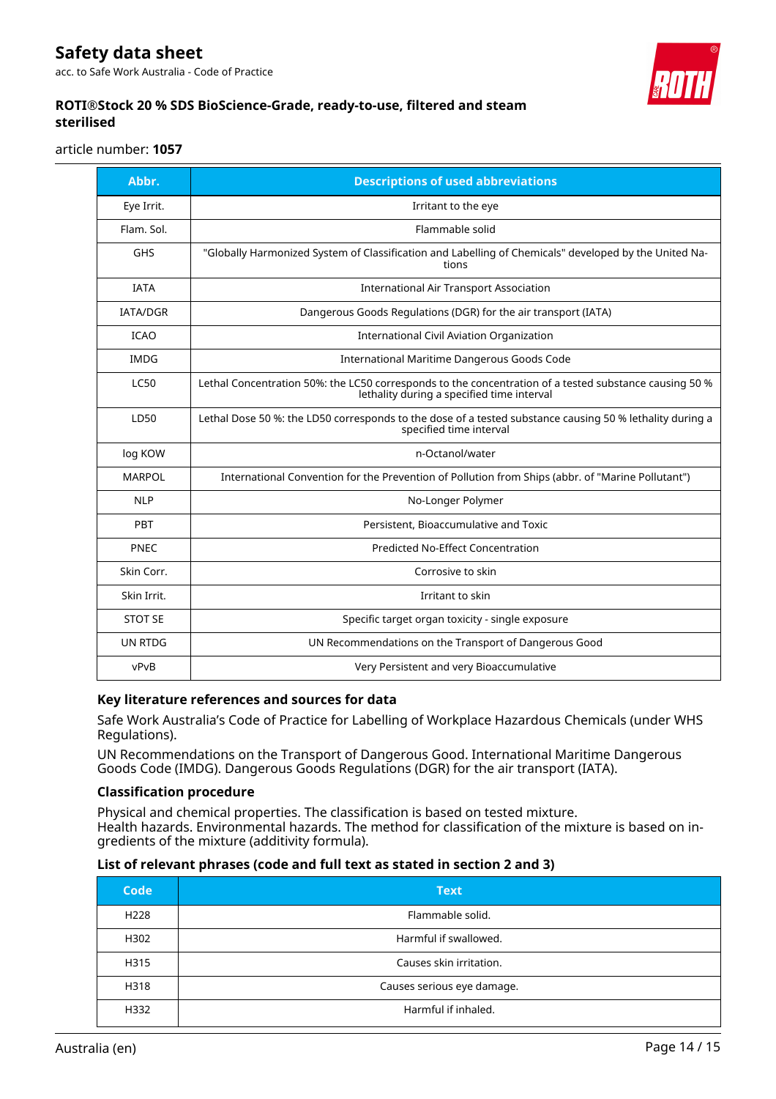acc. to Safe Work Australia - Code of Practice



## **ROTI®Stock 20 % SDS BioScience-Grade, ready-to-use, filtered and steam sterilised**

article number: **1057**

| Abbr.           | <b>Descriptions of used abbreviations</b>                                                                                                            |
|-----------------|------------------------------------------------------------------------------------------------------------------------------------------------------|
| Eye Irrit.      | Irritant to the eye                                                                                                                                  |
| Flam. Sol.      | Flammable solid                                                                                                                                      |
| <b>GHS</b>      | "Globally Harmonized System of Classification and Labelling of Chemicals" developed by the United Na-<br>tions                                       |
| <b>IATA</b>     | <b>International Air Transport Association</b>                                                                                                       |
| <b>IATA/DGR</b> | Dangerous Goods Regulations (DGR) for the air transport (IATA)                                                                                       |
| <b>ICAO</b>     | <b>International Civil Aviation Organization</b>                                                                                                     |
| <b>IMDG</b>     | International Maritime Dangerous Goods Code                                                                                                          |
| <b>LC50</b>     | Lethal Concentration 50%: the LC50 corresponds to the concentration of a tested substance causing 50 %<br>lethality during a specified time interval |
| LD50            | Lethal Dose 50 %: the LD50 corresponds to the dose of a tested substance causing 50 % lethality during a<br>specified time interval                  |
| log KOW         | n-Octanol/water                                                                                                                                      |
| <b>MARPOL</b>   | International Convention for the Prevention of Pollution from Ships (abbr. of "Marine Pollutant")                                                    |
| <b>NLP</b>      | No-Longer Polymer                                                                                                                                    |
| PBT             | Persistent, Bioaccumulative and Toxic                                                                                                                |
| <b>PNEC</b>     | Predicted No-Effect Concentration                                                                                                                    |
| Skin Corr.      | Corrosive to skin                                                                                                                                    |
| Skin Irrit.     | Irritant to skin                                                                                                                                     |
| <b>STOT SE</b>  | Specific target organ toxicity - single exposure                                                                                                     |
| <b>UN RTDG</b>  | UN Recommendations on the Transport of Dangerous Good                                                                                                |
| vPvB            | Very Persistent and very Bioaccumulative                                                                                                             |

## **Key literature references and sources for data**

Safe Work Australia's Code of Practice for Labelling of Workplace Hazardous Chemicals (under WHS Regulations).

UN Recommendations on the Transport of Dangerous Good. International Maritime Dangerous Goods Code (IMDG). Dangerous Goods Regulations (DGR) for the air transport (IATA).

## **Classification procedure**

Physical and chemical properties. The classification is based on tested mixture. Health hazards. Environmental hazards. The method for classification of the mixture is based on ingredients of the mixture (additivity formula).

## **List of relevant phrases (code and full text as stated in section 2 and 3)**

| Code             | <b>Text</b>                |
|------------------|----------------------------|
| H <sub>228</sub> | Flammable solid.           |
| H302             | Harmful if swallowed.      |
| H315             | Causes skin irritation.    |
| H318             | Causes serious eye damage. |
| H332             | Harmful if inhaled.        |